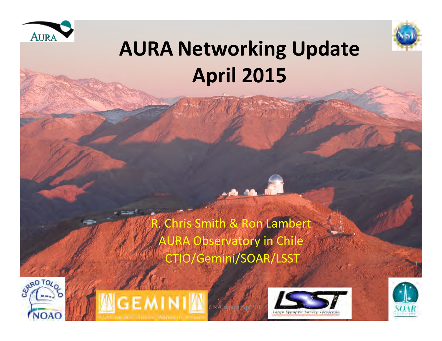



### **AURA Networking Update April 2015**

hris Smith & Ron Lambert A Observatory in Chile CTIO/Gemini/SOAR/LSST 









1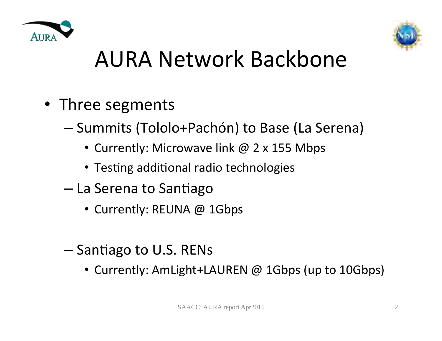



### AURA Network Backbone

- Three segments
	- Summits (Tololo+Pachón) to Base (La Serena)
		- Currently: Microwave link @ 2 x 155 Mbps
		- Testing additional radio technologies
	- $-$  La Serena to Santiago
		- Currently: REUNA @ 1Gbps
	- $-$  Santiago to U.S. RENs
		- Currently: AmLight+LAUREN @ 1Gbps (up to 10Gbps)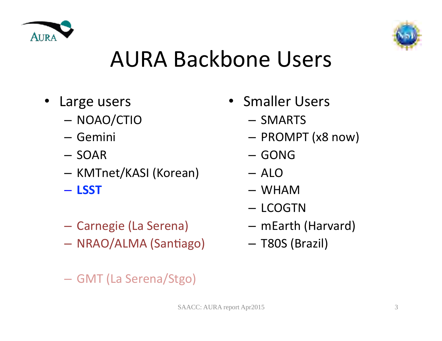



### AURA Backbone Users

- Large users
	- NOAO/CTIO
	- Gemini
	- SOAR
	- KMTnet/KASI (Korean)
	- **LSST**
	- Carnegie (La Serena)
	- NRAO/ALMA (Santiago)
	- GMT (La Serena/Stgo)
- Smaller Users
	- SMARTS
	- PROMPT (x8 now)
	- GONG
	- ALO
	- WHAM
	- LCOGTN
	- mEarth (Harvard)
	- T80S (Brazil)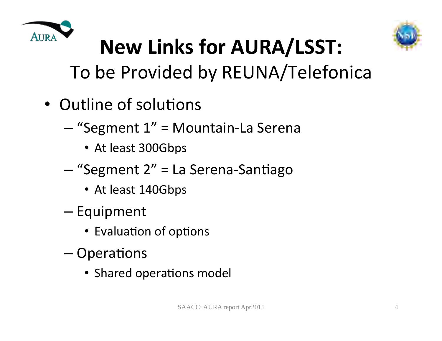



# **New Links for AURA/LSST:**

To be Provided by REUNA/Telefonica

- Outline of solutions
	- "Segment 1" = Mountain-La Serena
		- At least 300Gbps
	- "Segment 2" = La Serena-Santiago
		- At least 140Gbps
	- Equipment
		- Evaluation of options
	- $-$  Operations
		- Shared operations model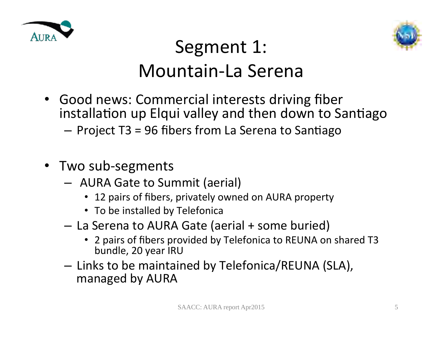



### Segment 1: Mountain-La Serena

- Good news: Commercial interests driving fiber installation up Elqui valley and then down to Santiago  $-$  Project T3 = 96 fibers from La Serena to Santiago
- Two sub-segments
	- $-$  AURA Gate to Summit (aerial)
		- 12 pairs of fibers, privately owned on AURA property
		- To be installed by Telefonica
	- La Serena to AURA Gate (aerial + some buried)
		- 2 pairs of fibers provided by Telefonica to REUNA on shared T3 bundle, 20 year IRU
	- $-$  Links to be maintained by Telefonica/REUNA (SLA), managed by AURA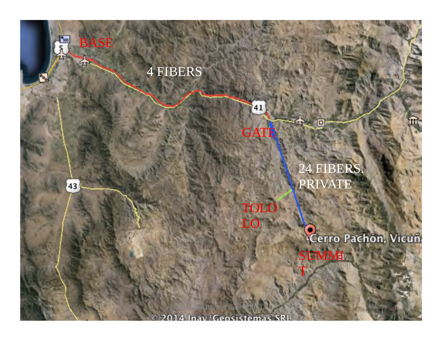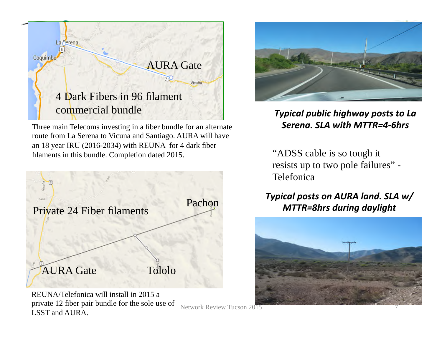

Three main Telecoms investing in a fiber bundle for an alternate route from La Serena to Vicuna and Santiago. AURA will have an 18 year IRU (2016-2034) with REUNA for 4 dark fiber filaments in this bundle. Completion dated 2015.



REUNA/Telefonica will install in 2015 a private 12 fiber pair bundle for the sole use of LSST and AURA.

#### **Typical public highway posts to La** Serena. SLA with MTTR=4-6hrs

"ADSS cable is so tough it resists up to two pole failures" - Telefonica

#### *Typical posts on AURA land. SLA w/ MTTR=8hrs during daylight*



Network Review Tucson 2015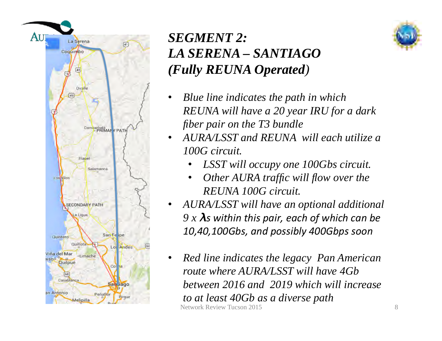

### *SEGMENT 2: LA SERENA – SANTIAGO (Fully REUNA Operated)*

- *Blue line indicates the path in which REUNA will have a 20 year IRU for a dark fiber pair on the T3 bundle*
- *AURA/LSST and REUNA will each utilize a 100G circuit.*
	- *LSST will occupy one 100Gbs circuit.*
	- *Other AURA traffic will flow over the REUNA 100G circuit.*
- *AURA/LSST will have an optional additional*   $9 x \lambda s$  within this pair, each of which can be 10,40,100Gbs, and possibly 400Gbps soon
- Network Review Tucson 2015 • *Red line indicates the legacy Pan American route where AURA/LSST will have 4Gb between 2016 and 2019 which will increase to at least 40Gb as a diverse path*

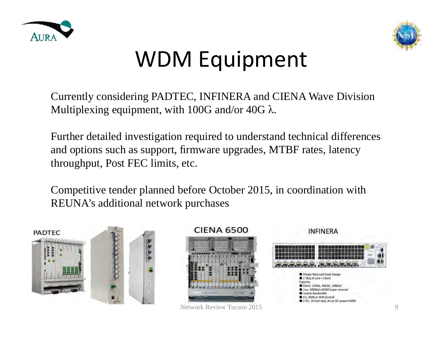



### WDM Equipment

Currently considering PADTEC, INFINERA and CIENA Wave Division Multiplexing equipment, with 100G and/or 40G  $\lambda$ .

Further detailed investigation required to understand technical differences and options such as support, firmware upgrades, MTBF rates, latency throughput, Post FEC limits, etc.

Competitive tender planned before October 2015, in coordination with REUNA's additional network purchases





Network Review Tucson 2015

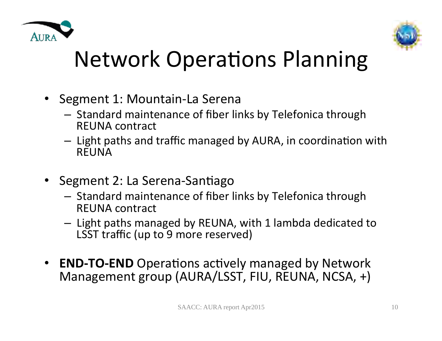



### Network Operations Planning

- Segment 1: Mountain-La Serena
	- $-$  Standard maintenance of fiber links by Telefonica through REUNA contract
	- $-$  Light paths and traffic managed by AURA, in coordination with REUNA
- Segment 2: La Serena-Santiago
	- $-$  Standard maintenance of fiber links by Telefonica through REUNA contract
	- $-$  Light paths managed by REUNA, with 1 lambda dedicated to LSST traffic (up to 9 more reserved)
- **END-TO-END** Operations actively managed by Network Management group (AURA/LSST, FIU, REUNA, NCSA, +)